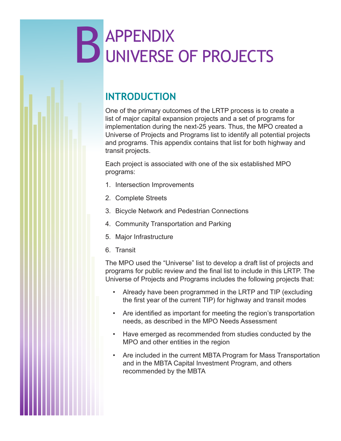# B APPENDIX UNIVERSE OF PROJECTS

# **INTRODUCTION**

One of the primary outcomes of the LRTP process is to create a list of major capital expansion projects and a set of programs for implementation during the next-25 years. Thus, the MPO created a Universe of Projects and Programs list to identify all potential projects and programs. This appendix contains that list for both highway and transit projects.

Each project is associated with one of the six established MPO programs:

- 1. Intersection Improvements
- 2. Complete Streets
- 3. Bicycle Network and Pedestrian Connections
- 4. Community Transportation and Parking
- 5. Major Infrastructure
- 6. Transit

The MPO used the "Universe" list to develop a draft list of projects and programs for public review and the final list to include in this LRTP. The Universe of Projects and Programs includes the following projects that:

- Already have been programmed in the LRTP and TIP (excluding the first year of the current TIP) for highway and transit modes
- Are identified as important for meeting the region's transportation needs, as described in the MPO Needs Assessment
- Have emerged as recommended from studies conducted by the MPO and other entities in the region
- Are included in the current MBTA Program for Mass Transportation and in the MBTA Capital Investment Program, and others recommended by the MBTA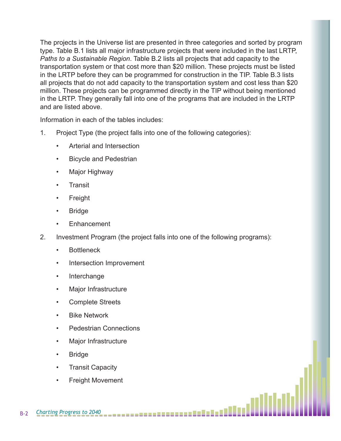The projects in the Universe list are presented in three categories and sorted by program type. Table B.1 lists all major infrastructure projects that were included in the last LRTP, *Paths to a Sustainable Region*. Table B.2 lists all projects that add capacity to the transportation system or that cost more than \$20 million. These projects must be listed in the LRTP before they can be programmed for construction in the TIP. Table B.3 lists all projects that do not add capacity to the transportation system and cost less than \$20 million. These projects can be programmed directly in the TIP without being mentioned in the LRTP. They generally fall into one of the programs that are included in the LRTP and are listed above.

Information in each of the tables includes:

- 1. Project Type (the project falls into one of the following categories):
	- Arterial and Intersection
	- Bicycle and Pedestrian
	- Major Highway
	- **Transit**
	- **Freight**
	- Bridge
	- **Enhancement**
- 2. Investment Program (the project falls into one of the following programs):
	- Bottleneck
	- Intersection Improvement
	- Interchange
	- Major Infrastructure
	- Complete Streets
	- Bike Network
	- Pedestrian Connections
	- Major Infrastructure
	- Bridge
	- Transit Capacity
	- **Freight Movement**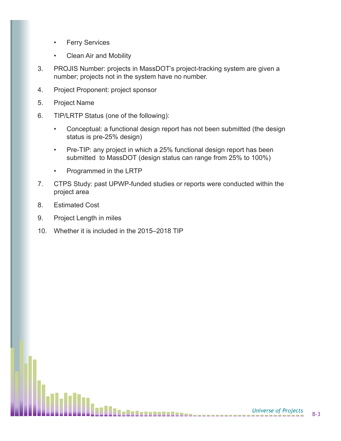- Ferry Services
- **Clean Air and Mobility**
- 3. PROJIS Number: projects in MassDOT's project-tracking system are given a number; projects not in the system have no number.
- 4. Project Proponent: project sponsor
- 5. Project Name
- 6. TIP/LRTP Status (one of the following):
	- Conceptual: a functional design report has not been submitted (the design status is pre-25% design)
	- Pre-TIP: any project in which a 25% functional design report has been submitted to MassDOT (design status can range from 25% to 100%)
	- Programmed in the LRTP
- 7. CTPS Study: past UPWP-funded studies or reports were conducted within the project area
- 8. Estimated Cost
- 9. Project Length in miles
- 10. Whether it is included in the 2015–2018 TIP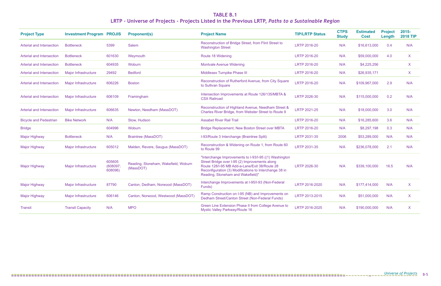| <b>Project Type</b>              | <b>Investment Program PROJIS</b> |                               | <b>Proponent(s)</b>                               | <b>Project Name</b>                                                                                                                                                                                                                                      | <b>TIP/LRTP Status</b> | <b>CTPS</b><br><b>Study</b> | <b>Estimated</b><br><b>Cost</b> | <b>Project</b><br>Length | 2015-<br><b>2018 TIP</b> |
|----------------------------------|----------------------------------|-------------------------------|---------------------------------------------------|----------------------------------------------------------------------------------------------------------------------------------------------------------------------------------------------------------------------------------------------------------|------------------------|-----------------------------|---------------------------------|--------------------------|--------------------------|
| Arterial and Intersection        | <b>Bottleneck</b>                | 5399                          | <b>Salem</b>                                      | Reconstruction of Bridge Street, from Flint Street to<br><b>Washington Street</b>                                                                                                                                                                        | LRTP 2016-20           | N/A                         | \$16,613,000                    | 0.4                      | N/A                      |
| Arterial and Intersection        | <b>Bottleneck</b>                | 601630                        | Weymouth                                          | Route 18 Widening                                                                                                                                                                                                                                        | LRTP 2016-20           | N/A                         | \$59,000,000                    | 4.0                      | X.                       |
| <b>Arterial and Intersection</b> | <b>Bottleneck</b>                | 604935                        | Woburn                                            | <b>Montvale Avenue Widening</b>                                                                                                                                                                                                                          | LRTP 2016-20           | N/A                         | \$4,225,256                     |                          | $\mathsf{X}$             |
| <b>Arterial and Intersection</b> | Major Infrastructure             | 29492                         | <b>Bedford</b>                                    | Middlesex Turnpike Phase III                                                                                                                                                                                                                             | LRTP 2016-20           | N/A                         | \$26,935,171                    |                          | X                        |
| <b>Arterial and Intersection</b> | Major Infrastructure             | 606226                        | <b>Boston</b>                                     | Reconstruction of Rutherford Avenue, from City Square<br>to Sullivan Square                                                                                                                                                                              | LRTP 2016-20           | N/A                         | \$109,967,000                   | 2.9                      | N/A                      |
| <b>Arterial and Intersection</b> | Major Infrastructure             | 606109                        | Framingham                                        | Intersection Improvements at Route 126/135/MBTA &<br><b>CSX Railroad</b>                                                                                                                                                                                 | LRTP 2026-30           | N/A                         | \$115,000,000                   | 0.2                      | N/A                      |
| <b>Arterial and Intersection</b> | Major Infrastructure             | 606635                        | Newton, Needham (MassDOT)                         | Reconstruction of Highland Avenue, Needham Street &<br>Charles River Bridge, from Webster Street to Route 9                                                                                                                                              | LRTP 2021-25           | N/A                         | \$18,000,000                    | 3.0                      | N/A                      |
| <b>Bicycle and Pedestrian</b>    | <b>Bike Network</b>              | N/A                           | Stow, Hudson                                      | <b>Assabet River Rail Trail</b>                                                                                                                                                                                                                          | LRTP 2016-20           | N/A                         | \$16,285,600                    | 3.6                      | N/A                      |
| <b>Bridge</b>                    |                                  | 604996                        | Woburn                                            | Bridge Replacement, New Boston Street over MBTA                                                                                                                                                                                                          | LRTP 2016-20           | N/A                         | \$8,297,198                     | 0.3                      | N/A                      |
| <b>Major Highway</b>             | <b>Bottleneck</b>                | N/A                           | <b>Braintree (MassDOT)</b>                        | I-93/Route 3 Interchange (Braintree Split)                                                                                                                                                                                                               | LRTP 2031-35           | 2006                        | \$53,289,000                    | N/A                      | N/A                      |
| <b>Major Highway</b>             | Major Infrastructure             | 605012                        | Malden, Revere, Saugus (MassDOT)                  | Reconstruction & Widening on Route 1, from Route 60<br>to Route 99                                                                                                                                                                                       | LRTP 2031-35           | N/A                         | \$236,078,000                   | 2.1                      | N/A                      |
| <b>Major Highway</b>             | Major Infrastructure             | 605605<br>(608097)<br>608096) | Reading, Stoneham, Wakefield, Woburn<br>(MassDOT) | "Interchange Improvements to I-93/I-95 ((1) Washington<br>Street Bridge over I-95 (2) Improvements along<br>Route 128/I-95 MB Add-a-Lane/Exit 38/Route 28<br>Reconfiguration (3) Modifications to Interchange 38 in<br>Reading, Stoneham and Wakefield)" | LRTP 2026-30           | N/A                         | \$339,100,000                   | 16.5                     | N/A                      |
| <b>Major Highway</b>             | Major Infrastructure             | 87790                         | Canton, Dedham, Norwood (MassDOT)                 | Interchange Improvements at I-95/I-93 (Non-Federal<br>Funds)                                                                                                                                                                                             | LRTP 2016-2020         | N/A                         | \$177,414,000                   | N/A                      | $\mathsf{X}$             |
| <b>Major Highway</b>             | Major Infrastructure             | 606146                        | Canton, Norwood, Westwood (MassDOT)               | Ramp Construction on I-95 (NB) and Improvements on<br>Dedham Street/Canton Street (Non-Federal Funds)                                                                                                                                                    | LRTP 2013-2015         | N/A                         | \$51,000,000                    | N/A                      | $\sf X$                  |
| Transit                          | <b>Transit Capacity</b>          | N/A                           | <b>MPO</b>                                        | Green Line Extension Phase II from College Avenue to<br>Mystic Valley Parkway/Route 16                                                                                                                                                                   | LRTP 2016-2025         | N/A                         | \$190,000,000                   | N/A                      | X                        |

# **TABLE B.1 LRTP - Universe of Projects - Projects Listed in the Previous LRTP,** *Paths to a Sustainable Region*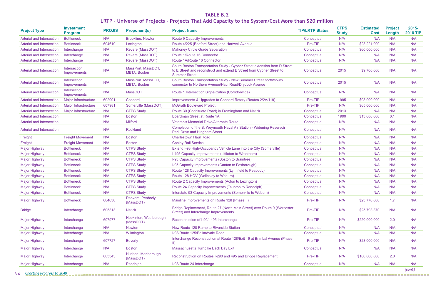| <b>Project Type</b>              | <b>Investment</b><br><b>Program</b> | <b>PROJIS</b> | <b>Proponent(s)</b>                       | <b>Project Name</b>                                                                                                                                                        | <b>TIP/LRTP Status</b> | <b>CTPS</b><br><b>Study</b> | <b>Estimated</b><br><b>Cost</b> | <b>Project</b><br>Length | $2015 -$<br><b>2018 TIP</b> |
|----------------------------------|-------------------------------------|---------------|-------------------------------------------|----------------------------------------------------------------------------------------------------------------------------------------------------------------------------|------------------------|-----------------------------|---------------------------------|--------------------------|-----------------------------|
| <b>Arterial and Intersection</b> | <b>Bottleneck</b>                   | N/A           | <b>Brookline, Newton</b>                  | <b>Route 9 Capacity Improvements</b>                                                                                                                                       | Conceptual             | N/A                         | N/A                             | N/A                      | N/A                         |
| Arterial and Intersection        | <b>Bottleneck</b>                   | 604619        | Lexington                                 | Route 4/225 (Bedford Street) and Hartwell Avenue                                                                                                                           | Pre-TIP                | N/A                         | \$23,221,000                    | N/A                      | N/A                         |
| <b>Arterial and Intersection</b> | Interchange                         | N/A           | Revere (MassDOT)                          | <b>Mahoney Circle Grade Separation</b>                                                                                                                                     | Conceptual             | N/A                         | \$60,000,000                    | N/A                      | N/A                         |
| <b>Arterial and Intersection</b> | Interchange                         | N/A           | Revere (MassDOT)                          | Route 1/Route 16 Connector                                                                                                                                                 | Conceptual             | N/A                         | N/A                             | N/A                      | N/A                         |
| <b>Arterial and Intersection</b> | Interchange                         | N/A           | Revere (MassDOT)                          | Route 1A/Route 16 Connector                                                                                                                                                | Conceptual             | N/A                         | N/A                             | N/A                      | N/A                         |
| <b>Arterial and Intersection</b> | Intersection<br>Improvements        | N/A           | MassPort, MassDOT,<br><b>MBTA, Boston</b> | South Boston Transportation Study - Cypher Street extension from D Street<br>to E Street and reconstruct and extend E Street from Cypher Street to<br><b>Summer Street</b> | Conceptual             | 2015                        | \$9,700,000                     | N/A                      | N/A                         |
| <b>Arterial and Intersection</b> | Intersection<br>Improvements        | N/A           | MassPort, MassDOT,<br><b>MBTA, Boston</b> | South Boston Transportation Study - New Summer Street north/south<br>connector to Northern Avenue/Haul Road/Drydock Avenue                                                 | Conceptual             | 2015                        | N/A                             | N/A                      | N/A                         |
| <b>Arterial and Intersection</b> | <b>Intersection</b><br>Improvements | N/A           | <b>MassDOT</b>                            | Route 1 Intersection Signalization (Corridorwide)                                                                                                                          | Conceptual             | N/A                         | N/A                             | N/A                      | N/A                         |
| <b>Arterial and Intersection</b> | Major Infrastructure                | 602091        | Concord                                   | Improvements & Upgrades to Concord Rotary (Routes 2/2A/119)                                                                                                                | Pre-TIP                | 1995                        | \$98,900,000                    | N/A                      | N/A                         |
| <b>Arterial and Intersection</b> | Major Infrastructure                | 607981        | Somerville (MassDOT)                      | <b>McGrath Boulevard Project</b>                                                                                                                                           | Pre-TIP                | N/A                         | \$65,000,000                    | N/A                      | N/A                         |
| <b>Arterial and Intersection</b> | Major Infrastructure                | N/A           | <b>CTPS Study</b>                         | Route 30 (Cochituate Road) in Framingham and Natick                                                                                                                        | Conceptual             | 2013                        | N/A                             | N/A                      | N/A                         |
| <b>Arterial and Intersection</b> |                                     | N/A           | <b>Boston</b>                             | Boardman Street at Route 1A                                                                                                                                                | Conceptual             | 1990                        | \$13,686,000                    | 0.1                      | N/A                         |
| <b>Arterial and Intersection</b> |                                     | N/A           | <b>Milford</b>                            | <b>Veteran's Memorial Drive/Alternate Route</b>                                                                                                                            | Conceptual             | N/A                         | N/A                             | N/A                      | N/A                         |
| <b>Arterial and Intersection</b> |                                     | N/A           | Rockland                                  | Completion of the S. Weymouth Naval Air Station - Widening Reservoir<br>Park Drive and Hingham Street                                                                      | Conceptual             | N/A                         | N/A                             | N/A                      | N/A                         |
| Freight                          | <b>Freight Movement</b>             | N/A           | <b>Boston</b>                             | <b>Charlestown Haul Road</b>                                                                                                                                               | Conceptual             | N/A                         | N/A                             | N/A                      | N/A                         |
| Freight                          | <b>Freight Movement</b>             | N/A           | <b>Boston</b>                             | <b>Conley Rail Service</b>                                                                                                                                                 | Conceptual             | N/A                         | N/A                             | N/A                      | N/A                         |
| <b>Major Highway</b>             | <b>Bottleneck</b>                   | N/A           | <b>CTPS Study</b>                         | Extend I-93 High-Occupancy Vehicle Lane into the City (Somerville)                                                                                                         | Conceptual             | N/A                         | N/A                             | N/A                      | N/A                         |
| <b>Major Highway</b>             | <b>Bottleneck</b>                   | N/A           | <b>CTPS Study</b>                         | I-495 Capacity Improvements (Littleton to Wrentham)                                                                                                                        | Conceptual             | N/A                         | N/A                             | N/A                      | N/A                         |
| <b>Major Highway</b>             | <b>Bottleneck</b>                   | N/A           | <b>CTPS Study</b>                         | I-93 Capacity Improvements (Boston to Braintree)                                                                                                                           | Conceptual             | N/A                         | N/A                             | N/A                      | N/A                         |
| <b>Major Highway</b>             | <b>Bottleneck</b>                   | N/A           | <b>CTPS Study</b>                         | I-95 Capacity Improvements (Canton to Foxborough)                                                                                                                          | Conceptual             | N/A                         | N/A                             | N/A                      | N/A                         |
| <b>Major Highway</b>             | <b>Bottleneck</b>                   | N/A           | <b>CTPS Study</b>                         | Route 128 Capacity Improvements (Lynnfield to Peabody)                                                                                                                     | Conceptual             | N/A                         | N/A                             | N/A                      | N/A                         |
| <b>Major Highway</b>             | <b>Bottleneck</b>                   | N/A           | <b>CTPS Study</b>                         | Route 128 HOV (Wellesley to Woburn)                                                                                                                                        | Conceptual             | N/A                         | N/A                             | N/A                      | N/A                         |
| <b>Major Highway</b>             | <b>Bottleneck</b>                   | N/A           | <b>CTPS Study</b>                         | Route 2 Capacity Improvements (Acton to Lexington)                                                                                                                         | Conceptual             | N/A                         | N/A                             | N/A                      | N/A                         |
| <b>Major Highway</b>             | <b>Bottleneck</b>                   | N/A           | <b>CTPS Study</b>                         | Route 24 Capacity Improvements (Taunton to Randolph)                                                                                                                       | Conceptual             | N/A                         | N/A                             | N/A                      | N/A                         |
| <b>Major Highway</b>             | <b>Bottleneck</b>                   | N/A           | <b>CTPS Study</b>                         | Interstate 93 Capacity Improvements (Somerville to Woburn)                                                                                                                 | Conceptual             | N/A                         | N/A                             | N/A                      | N/A                         |
| <b>Major Highway</b>             | <b>Bottleneck</b>                   | 604638        | Danvers, Peabody<br>(MassDOT)             | Mainline Improvements on Route 128 (Phase II)                                                                                                                              | Pre-TIP                | N/A                         | \$23,776,000                    | 1.7                      | N/A                         |
| <b>Bridge</b>                    | Interchange                         | 605313        | <b>Natick</b>                             | Bridge Replacement, Route 27 (North Main Street) over Route 9 (Worcester<br>Street) and Interchange Improvements                                                           | Pre-TIP                | N/A                         | \$25,793,370                    | N/A                      | N/A                         |
| <b>Major Highway</b>             | Interchange                         | 607977        | Hopkinton, Westborough<br>(MassDOT)       | Reconstruction of I-90/I-495 Interchange                                                                                                                                   | Pre-TIP                | N/A                         | \$220,000,000                   | 2.0                      | N/A                         |
| <b>Major Highway</b>             | Interchange                         | N/A           | <b>Newton</b>                             | New Route 128 Ramp to Riverside Station                                                                                                                                    | Conceptual             | N/A                         | N/A                             | N/A                      | N/A                         |
| <b>Major Highway</b>             | Interchange                         | N/A           | Wilmington                                | I-93/Route 125/Ballardvale Road                                                                                                                                            | Conceptual             | N/A                         | N/A                             | N/A                      | N/A                         |
| Major Highway                    | Interchange                         | 607727        | <b>Beverly</b>                            | Interchange Reconstruction at Route 128/Exit 19 at Brimbal Avenue (Phase<br>$\mathbb{H}$                                                                                   | Pre-TIP                | N/A                         | \$23,000,000                    | N/A                      | N/A                         |
| <b>Major Highway</b>             | Interchange                         | N/A           | <b>Boston</b>                             | Massachusetts Turnpike Back Bay Exit                                                                                                                                       | Conceptual             | N/A                         | N/A                             | N/A                      | N/A                         |
| <b>Major Highway</b>             | Interchange                         | 603345        | Hudson, Marlborough<br>(MassDOT)          | Reconstruction on Routes I-290 and 495 and Bridge Replacement                                                                                                              | Pre-TIP                | N/A                         | \$100,000,000                   | 2.0                      | N/A                         |
| <b>Major Highway</b>             | Interchange                         | N/A           | Randolph                                  | I-93/Route 24 Interchange                                                                                                                                                  | Conceptual             | N/A                         | N/A                             | N/A                      | N/A                         |
| 6 Charting Progress to 2040      |                                     |               |                                           |                                                                                                                                                                            |                        |                             |                                 |                          | (cont.)                     |

# **TABLE B.2**

**LRTP - Universe of Projects - Projects That Add Capacity to the System/Cost More than \$20 million**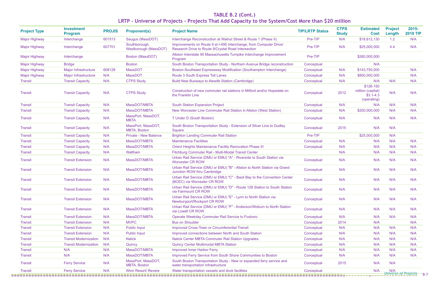| <b>Project Type</b>  | <b>Investment</b><br><b>Program</b> | <b>PROJIS</b> | <b>Proponent(s)</b>                       | <b>Project Name</b>                                                                                                       | <b>TIP/LRTP Status</b> | <b>CTPS</b><br><b>Study</b> | <b>Estimated</b><br><b>Cost</b>                               | <b>Project</b><br>Length               | 2015-<br><b>2018 TIP</b> |
|----------------------|-------------------------------------|---------------|-------------------------------------------|---------------------------------------------------------------------------------------------------------------------------|------------------------|-----------------------------|---------------------------------------------------------------|----------------------------------------|--------------------------|
| <b>Major Highway</b> | Interchange                         | 601513        | Saugus (MassDOT)                          | Interchange Reconstruction at Walnut Street & Route 1 (Phase II)                                                          | Pre-TIP                | N/A                         | \$18,612,130                                                  | 1.2                                    | N/A                      |
| <b>Major Highway</b> | Interchange                         | 607701        | Southborough,<br>Westborough (MassDOT)    | Improvements on Route 9 at I-495 Interchange, from Computer Drive/<br>Research Drive to Route 9/Crystal Road Intersection | Pre-TIP                | N/A                         | \$25,000,000                                                  | 4.4                                    | N/A                      |
| <b>Major Highway</b> | Interchange                         |               | Boston (MassDOT)                          | Allston Interstate 90 Massachusetts Turnpike Interchange Improvement<br>Program                                           | Pre-TIP                |                             | \$260,000,000                                                 |                                        |                          |
| <b>Major Highway</b> | <b>Bridge</b>                       |               | <b>Boston</b>                             | South Boston Transportation Study - Northern Avenue Bridge reconstruction                                                 | Conceptual             |                             | N/A                                                           |                                        |                          |
| Major Highway        | <b>Major Infrastructure</b>         | 608128        | <b>MassDOT</b>                            | Boston-Southeast Expressway Modification (Southampton Interchange)                                                        | Conceptual             | N/A                         | \$143,750,000                                                 |                                        | N/A                      |
| <b>Major Highway</b> | Major Infrastructure                | N/A           | <b>MassDOT</b>                            | Route 3 South Express Toll Lanes                                                                                          | Conceptual             | N/A                         | \$800,000,000                                                 |                                        | N/A                      |
| <b>Transit</b>       | <b>Transit Capacity</b>             | N/A           | <b>CTPS Study</b>                         | <b>Build New Busways to Alewife Station (Cambridge)</b>                                                                   | Conceptual             | N/A                         | N/A                                                           | N/A                                    | N/A                      |
| <b>Transit</b>       | <b>Transit Capacity</b>             | N/A           | <b>CTPS Study</b>                         | Construction of new commuter rail stations in Milford and/or Hopedale on<br>the Franklin Line                             | Conceptual             | 2012                        | \$126-150<br>million (capital)<br>$$3.1 - 4.3$<br>(operating) | N/A                                    | N/A                      |
| <b>Transit</b>       | <b>Transit Capacity</b>             | N/A           | MassDOT/MBTA                              | <b>South Station Expansion Project</b>                                                                                    | Conceptual             | N/A                         | N/A                                                           | N/A                                    | N/A                      |
| <b>Transit</b>       | <b>Transit Capacity</b>             | N/A           | MassDOT/MBTA                              | New Worcester Line Commuter Rail Station in Allston (West Station)                                                        | Conceptual             | N/A                         | \$200,000,000                                                 | N/A                                    | N/A                      |
| <b>Transit</b>       | <b>Transit Capacity</b>             | N/A           | MassPort, MassDOT,<br><b>MBTA</b>         | T Under D (South Boston)                                                                                                  | Conceptual             | N/A                         | N/A                                                           | N/A                                    | N/A                      |
| <b>Transit</b>       | <b>Transit Capacity</b>             | N/A           | MassPort, MassDOT,<br>MBTA, Boston        | South Boston Transportation Study - Extension of Silver Line to Dudley<br>Square                                          | Conceptual             | 2015                        | N/A                                                           | N/A                                    |                          |
| <b>Transit</b>       | <b>Transit Capacity</b>             | N/A           | <b>Private - New Balance</b>              | <b>Brighton Landing Commuter Rail Station</b>                                                                             | Pre-TIP                |                             | \$25,000,000                                                  | N/A                                    |                          |
| <b>Transit</b>       | <b>Transit Capacity</b>             | N/A           | MassDOT/MBTA                              | <b>Maintenance Facilities</b>                                                                                             | Conceptual             | N/A                         | N/A                                                           | N/A                                    | N/A                      |
| <b>Transit</b>       | <b>Transit Capacity</b>             | N/A           | MassDOT/MBTA                              | Orient Heights Maintenance Facility Renovation Phase III                                                                  | Conceptual             | N/A                         | N/A                                                           | N/A                                    | N/A                      |
| <b>Transit</b>       | <b>Transit Capacity</b>             | N/A           | Waltham                                   | Fitchburg Commuter Rail - Multi-Modal Transit Center                                                                      |                        | N/A                         | N/A                                                           | N/A                                    | N/A                      |
| <b>Transit</b>       | <b>Transit Extension</b>            | N/A           | MassDOT/MBTA                              | Urban Rail Service (DMU or EMU) "A" - Riverside to South Station via<br><b>Worcester CR ROW</b>                           | Conceptual             | N/A                         | N/A                                                           | N/A                                    | N/A                      |
| <b>Transit</b>       | <b>Transit Extension</b>            | N/A           | MassDOT/MBTA                              | Urban Rail Service (DMU or EMU) "B" - Allston to North Station via Grand<br>Junction ROW thru Cambridge                   | Conceptual             | N/A                         | N/A                                                           | N/A                                    | N/A                      |
| <b>Transit</b>       | <b>Transit Extension</b>            | N/A           | MassDOT/MBTA                              | Urban Rail Service (DMU or EMU) "C" - Back Bay to the Convention Center<br>(BCEC) via Worcester CR ROW                    | Conceptual             | N/A                         | N/A                                                           | N/A                                    | N/A                      |
| <b>Transit</b>       | <b>Transit Extension</b>            | N/A           | MassDOT/MBTA                              | Urban Rail Service (DMU or EMU) "D" - Route 128 Station to South Station<br>via Fairmount CR ROW                          | Conceptual             | N/A                         | N/A                                                           | N/A                                    | N/A                      |
| <b>Transit</b>       | <b>Transit Extension</b>            | N/A           | MassDOT/MBTA                              | Urban Rail Service (DMU or EMU) "E" - Lynn to North Station via<br>Newburyport/Rockport CR ROW                            | Conceptual             | N/A                         | N/A                                                           | N/A                                    | N/A                      |
| <b>Transit</b>       | <b>Transit Extension</b>            | N/A           | MassDOT/MBTA                              | Urban Rail Service (DMU or EMU) "F" - Anderson/Woburn to North Station<br>via Lowell CR ROW                               | Conceptual             | N/A                         | N/A                                                           | N/A                                    | N/A                      |
| <b>Transit</b>       | <b>Transit Extension</b>            | N/A           | MassDOT/MBTA                              | Operate Weekday Commuter Rail Service to Foxboro                                                                          | Conceptual             | N/A                         | N/A                                                           | N/A                                    | N/A                      |
| <b>Transit</b>       | <b>Transit Extension</b>            | N/A           | <b>MVPC</b>                               | <b>Bus on Shoulder</b>                                                                                                    | Conceptual             | 2014                        | N/A                                                           |                                        | N/A                      |
| <b>Transit</b>       | <b>Transit Extension</b>            | N/A           | <b>Public Input</b>                       | <b>Improved Cross-Town or Circumferential Transit</b>                                                                     | Conceptual             | N/A                         | N/A                                                           | N/A                                    | N/A                      |
| <b>Transit</b>       | <b>Transit Extension</b>            | N/A           | <b>Public Input</b>                       | Improved connections between North and South Station                                                                      | Conceptual             | N/A                         | N/A                                                           | N/A                                    | N/A                      |
| <b>Transit</b>       | <b>Transit Modernization</b>        | N/A           | <b>Natick</b>                             | Natick Center MBTA Commuter Rail Station Upgrades                                                                         | Conceptual             | N/A                         | N/A                                                           | N/A                                    | N/A                      |
| <b>Transit</b>       | <b>Transit Modernization</b>        | N/A           | Quincy                                    | <b>Quincy Center Multimodal MBTA Station</b>                                                                              | Conceptual             | N/A                         | N/A                                                           | N/A                                    | N/A                      |
| <b>Transit</b>       | N/A                                 | N/A           | MassDOT/MBTA                              | <b>Improved Inner Harbor Ferry</b>                                                                                        | Conceptual             | N/A                         | N/A                                                           | N/A                                    | N/A                      |
| <b>Transit</b>       | N/A                                 | N/A           | MassDOT/MBTA                              | Improved Ferry Service from South Shore Communities to Boston                                                             | Conceptual             | N/A                         | N/A                                                           | N/A                                    | N/A                      |
| <b>Transit</b>       | <b>Ferry Service</b>                | N/A           | MassPort, MassDOT,<br><b>MBTA, Boston</b> | South Boston Transportation Study - New or expanded ferry service and<br>water transportation infrastructure              | Conceptual             | 2015                        | N/A                                                           | N/A                                    |                          |
| <b>Transit</b>       | <b>Ferry Service</b>                | N/A           | <b>Winn Resort/ Revere</b>                | Water transportation vessels and dock facilities                                                                          | Conceptual             |                             | N/A                                                           | N/A<br><del>Universe of Projects</del> |                          |

### **TABLE B.2 (Cont.)**

# **LRTP - Universe of Projects - Projects That Add Capacity to the System/Cost More than \$20 million**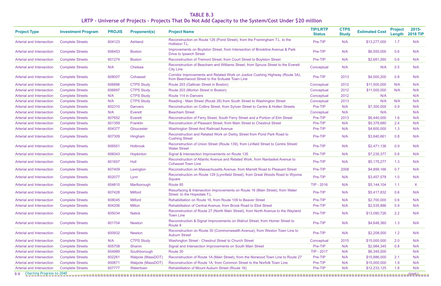**TABLE B.3** 

# **LRTP - Universe of Projects - Projects That Do Not Add Capacity to the System/Cost Under \$20 million**

| <b>Project Type</b>              | <b>Investment Program</b> | <b>PROJIS</b> | <b>Proponent(s)</b> | <b>Project Name</b>                                                                                                              | <b>TIP/LRTP</b><br><b>Status</b> | <b>CTPS</b><br><b>Study</b> | <b>Estimated Cost</b> | <b>Project</b><br>Length | 2015-<br><b>2018 TIP</b> |
|----------------------------------|---------------------------|---------------|---------------------|----------------------------------------------------------------------------------------------------------------------------------|----------------------------------|-----------------------------|-----------------------|--------------------------|--------------------------|
| <b>Arterial and Intersection</b> | <b>Complete Streets</b>   | 604123        | Ashland             | Reconstruction on Route 126 (Pond Street), from the Framingham T.L. to the<br>Holliston T.L.                                     | Pre-TIP                          | N/A                         | \$13,277,000          | 1.7                      | N/A                      |
| <b>Arterial and Intersection</b> | <b>Complete Streets</b>   | 606453        | <b>Boston</b>       | Improvements on Boylston Street, from Intersection of Brookline Avenue & Park<br><b>Drive to Ipswich Street</b>                  | Pre-TIP                          | N/A                         | \$6,555,000           | 0.6                      | N/A                      |
| <b>Arterial and Intersection</b> | <b>Complete Streets</b>   | 601274        | <b>Boston</b>       | Reconstruction of Tremont Street, from Court Street to Boylston Street                                                           | Pre-TIP                          | N/A                         | \$2,681,260           | 0.6                      | N/A                      |
| Arterial and Intersection        | <b>Complete Streets</b>   | N/A           | Chelsea             | Reconstruction of Beacham and Williams Street, from Spruce Street to the Everett<br><b>City Line</b>                             | Conceptual                       | N/A                         | N/A                   | 0.5                      | N/A                      |
| <b>Arterial and Intersection</b> | <b>Complete Streets</b>   | 608007        | Cohasset            | Corridor Improvements and Related Work on Justice Cushing Highway (Route 3A),<br>from Beechwood Street to the Scituate Town Line | Pre-TIP                          | 2013                        | \$4,000,200           | 0.8                      | N/A                      |
| <b>Arterial and Intersection</b> | <b>Complete Streets</b>   | 606896        | <b>CTPS Study</b>   | Route 203 (Gallivan Street in Boston)                                                                                            | Conceptual                       | 2012                        | \$11,500,000          | N/A                      | N/A                      |
| Arterial and Intersection        | <b>Complete Streets</b>   | 606897        | <b>CTPS Study</b>   | Route 203 (Morton Street in Boston)                                                                                              | Conceptual                       | 2012                        | \$11,500,000          | N/A                      | N/A                      |
| <b>Arterial and Intersection</b> | <b>Complete Streets</b>   | N/A           | <b>CTPS Study</b>   | Route 114 in Danvers                                                                                                             | Conceptual                       | 2012                        | N/A                   |                          | N/A                      |
| <b>Arterial and Intersection</b> | <b>Complete Streets</b>   | N/A           | <b>CTPS Study</b>   | Reading - Main Street (Route 28) from South Street to Washington Street                                                          | Conceptual                       | 2013                        | N/A                   | N/A                      | N/A                      |
| <b>Arterial and Intersection</b> | <b>Complete Streets</b>   | 602310        | <b>Danvers</b>      | Reconstruction on Collins Street, from Sylvan Street to Centre & Holten Streets                                                  | Pre-TIP                          | N/A                         | \$7,300,000           | 0.9                      | N/A                      |
| <b>Arterial and Intersection</b> | <b>Complete Streets</b>   | N/A           | Everett             | <b>Beacham Street</b>                                                                                                            | Conceptual                       | N/A                         | N/A                   |                          | N/A                      |
| <b>Arterial and Intersection</b> | <b>Complete Streets</b>   | 607652        | <b>Everett</b>      | Reconstruction of Ferry Street, South Ferry Street and a Portion of Elm Street                                                   | Pre-TIP                          | 2013                        | \$6,440,000           | 1.6                      | N/A                      |
| <b>Arterial and Intersection</b> | <b>Complete Streets</b>   | 601359        | Franklin            | Reconstruction of Pleasant Street, from Main Street to Chestnut Street                                                           | Pre-TIP                          | N/A                         | \$5,378,680           | 2.4                      | N/A                      |
| Arterial and Intersection        | <b>Complete Streets</b>   | 604377        | Gloucester          | <b>Washington Street And Railroad Avenue</b>                                                                                     | Pre-TIP                          | N/A                         | \$4,600,000           | 1.3                      | N/A                      |
| <b>Arterial and Intersection</b> | <b>Complete Streets</b>   | 607309        | Hingham             | Reconstruction and Related Work on Derby Street from Pond Park Road to<br><b>Cushing Street</b>                                  | Pre-TIP                          | N/A                         | \$3,840,661           | 0.8                      | N/A                      |
| <b>Arterial and Intersection</b> | <b>Complete Streets</b>   | 606501        | <b>Holbrook</b>     | Reconstruction of Union Street (Route 139), from Linfield Street to Centre Street/<br><b>Water Street</b>                        | Pre-TIP                          | N/A                         | \$2,471,136           | 0.9                      | N/A                      |
| Arterial and Intersection        | <b>Complete Streets</b>   | 606043        | Hopkinton           | Signal & Intersection Improvements on Route 135                                                                                  | Pre-TIP                          | N/A                         | \$7,235,377           | 0.8                      | N/A                      |
| <b>Arterial and Intersection</b> | <b>Complete Streets</b>   | 601607        | Hull                | Reconstruction of Atlantic Avenue and Related Work, from Nantasket Avenue to<br><b>Cohasset Town Line</b>                        | Pre-TIP                          | N/A                         | \$5,175,277           | 1.3                      | N/A                      |
| <b>Arterial and Intersection</b> | <b>Complete Streets</b>   | 607409        | Lexington           | Reconstruction on Massachusetts Avenue, from Marrett Road to Pleasant Street                                                     | Pre-TIP                          | 2008                        | \$4,899,166           | 0.7                      | N/A                      |
| <b>Arterial and Intersection</b> | <b>Complete Streets</b>   | 602077        | Lynn                | Reconstruction on Route 129 (Lynnfield Street), from Great Woods Road to Wyoma<br>Square                                         | Pre-TIP                          | N/A                         | \$3,457,578           | 1.0                      | N/A                      |
| <b>Arterial and Intersection</b> | <b>Complete Streets</b>   | 604810        | Marlborough         | Route 85                                                                                                                         | TIP - 2016                       | N/A                         | \$5,144,104           | 1.1                      | X.                       |
| <b>Arterial and Intersection</b> | <b>Complete Streets</b>   | 607428        | <b>Milford</b>      | Resurfacing & Intersection Improvements on Route 16 (Main Street), from Water<br>Street to the Hopedale T.L.                     | Pre-TIP                          | N/A                         | \$5,417,832           | 0.6                      | N/A                      |
| <b>Arterial and Intersection</b> | <b>Complete Streets</b>   | 608045        | <b>Milford</b>      | Rehabilitation on Route 16, from Route 109 to Beaver Street                                                                      | Pre-TIP                          | N/A                         | \$2,700,000           | 0.6                      | N/A                      |
| <b>Arterial and Intersection</b> | <b>Complete Streets</b>   | 604206        | Milton              | Rehabilitation of Central Avenue, from Brook Road to Eliot Street                                                                | Pre-TIP                          | N/A                         | \$2,535,886           | 0.9                      | N/A                      |
| Arterial and Intersection        | <b>Complete Streets</b>   | 605034        | <b>Natick</b>       | Reconstruction of Route 27 (North Main Street), from North Avenue to the Wayland<br><b>Town Line</b>                             | Pre-TIP                          | N/A                         | \$13,090,726          | 2.2                      | N/A                      |
| <b>Arterial and Intersection</b> | <b>Complete Streets</b>   | 601704        | <b>Newton</b>       | Reconstruction & Signal Improvements on Walnut Street, from Homer Street to<br>Route 9                                           | Pre-TIP                          | N/A                         | \$4,648,360           | 1.3                      | N/A                      |
| Arterial and Intersection        | <b>Complete Streets</b>   | 600932        | <b>Newton</b>       | Reconstruction on Route 30 (Commonwealth Avenue), from Weston Town Line to<br><b>Auburn Street</b>                               | Pre-TIP                          | N/A                         | \$2,208,000           | 1.2                      | N/A                      |
| <b>Arterial and Intersection</b> | <b>Complete Streets</b>   | N/A           | <b>CTPS Study</b>   | Washington Street - Chestnut Street to Church Street                                                                             | Conceptual                       | 2015                        | \$15,000,000          | 2.0                      | N/A                      |
| <b>Arterial and Intersection</b> | <b>Complete Streets</b>   | 605708        | Sharon              | Signal and Intersection Improvements on South Main Street                                                                        | Pre-TIP                          | N/A                         | \$2,984,345           | 0.8                      | N/A                      |
| <b>Arterial and Intersection</b> | <b>Complete Streets</b>   | 604989        | Southborough        | Route 30                                                                                                                         | TIP - 2017                       | N/A                         | \$6,345,000           |                          | N/A                      |
| <b>Arterial and Intersection</b> | <b>Complete Streets</b>   | 602261        | Walpole (MassDOT)   | Reconstruction of Route 1A (Main Street), from the Norwood Town Line to Route 27                                                 | Pre-TIP                          | N/A                         | \$15,886,000          | 2.1                      | N/A                      |
| <b>Arterial and Intersection</b> | <b>Complete Streets</b>   | 600671        | Walpole (MassDOT)   | Reconstruction of Route 1A, from Common Street to the Norfolk Town Line                                                          | Pre-TIP                          | N/A                         | \$15,000,000          | 1.9                      | N/A                      |
| <b>Arterial and Intersection</b> | <b>Complete Streets</b>   | 607777        | Watertown           | Rehabilitation of Mount Auburn Street (Route 16)                                                                                 | Pre-TIP                          | N/A                         | \$12,233,125          | 1.8                      | N/A                      |
| B-8 Charting Progress to 2040    |                           |               |                     |                                                                                                                                  |                                  |                             |                       |                          | (cont.)                  |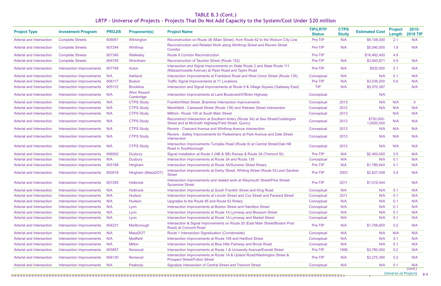B-9 *Universe of Projects*

| <b>Project Type</b>              | <b>Investment Program</b>        | <b>PROJIS</b> | <b>Proponent(s)</b>       | <b>Project Name</b>                                                                                                                   | <b>TIP/LRTP</b><br><b>Status</b> | <b>CTPS</b><br><b>Study</b> | <b>Estimated Cost</b>    | <b>Project</b><br>Length | $2015 -$<br><b>2018 TIP</b> |
|----------------------------------|----------------------------------|---------------|---------------------------|---------------------------------------------------------------------------------------------------------------------------------------|----------------------------------|-----------------------------|--------------------------|--------------------------|-----------------------------|
| <b>Arterial and Intersection</b> | <b>Complete Streets</b>          | 608051        | Wilmington                | Reconstruction on Route 38 (Main Street), from Route 62 to the Woburn City Line                                                       | Pre-TIP                          | N/A                         | \$9,108,000              | 2.1                      | N/A                         |
| <b>Arterial and Intersection</b> | <b>Complete Streets</b>          | 607244        | Winthrop                  | Reconstruction and Related Work along Winthrop Street and Revere Street<br>Corridor                                                   | Pre-TIP                          | N/A                         | \$5,040,000              | 1.8                      | N/A                         |
| <b>Arterial and Intersection</b> | <b>Complete Streets</b>          | 607340        | Wellesley                 | <b>Route 9 Corridor Reconstruction</b>                                                                                                | Pre-TIP                          |                             | \$16,462,400             | 4.8                      |                             |
| <b>Arterial and Intersection</b> | <b>Complete Streets</b>          | 604745        | Wrentham                  | Reconstruction of Taunton Street (Route 152)                                                                                          | Pre-TIP                          | N/A                         | \$3,945,871              | 0.9                      | N/A                         |
| Arterial and Intersection        | <b>Intersection Improvements</b> | 607748        | Acton                     | Intersection and Signal Improvements on State Route 2 and State Route 111<br>(Massachusetts Avenue) at Piper Road and Taylor Road     | Pre-TIP                          | N/A                         | \$520,000                | 0.1                      | N/A                         |
| Arterial and Intersection        | Intersection Improvements        | N/A           | Ashland                   | Intersection Improvements at Frankland Road and West Union Street (Route 135)                                                         | Conceptual                       | N/A                         | N/A                      | 0.1                      | N/A                         |
| <b>Arterial and Intersection</b> | <b>Intersection Improvements</b> | 606117        | <b>Boston</b>             | <b>Traffic Signal Improvements at 11 Locations</b>                                                                                    | Pre-TIP                          | N/A                         | \$3,036,200              | 0.6                      | N/A                         |
| <b>Arterial and Intersection</b> | Intersection Improvements        | 605110        | <b>Brookline</b>          | Intersection and Signal Improvements at Route 9 & Village Square (Gateway East)                                                       | TIP                              | N/A                         | \$5,070,387              |                          | N/A                         |
| <b>Arterial and Intersection</b> | Intersection Improvements        | N/A           | Winn Resort/<br>Cambridge | Intersection Improvements at Land Boulevard/O'Brien Highway                                                                           | Conceptual                       |                             | N/A                      |                          |                             |
| <b>Arterial and Intersection</b> | <b>Intersection Improvements</b> | N/A           | <b>CTPS Study</b>         | Franklin/West Street, Braintree Intersection improvements                                                                             | Conceptual                       | 2013                        | N/A                      | N/A                      | X                           |
| <b>Arterial and Intersection</b> | <b>Intersection Improvements</b> | N/A           | <b>CTPS Study</b>         | Marshfield - Careswell Street (Route 139) and Webster Street Intersection                                                             | Conceptual                       | 2012                        | N/A                      | N/A                      | N/A                         |
| <b>Arterial and Intersection</b> | <b>Intersection Improvements</b> | N/A           | <b>CTPS Study</b>         | Milford - Route 140 at South Main Street                                                                                              | Conceptual                       | 2013                        |                          | N/A                      | N/A                         |
| <b>Arterial and Intersection</b> | <b>Intersection Improvements</b> | N/A           | <b>CTPS Study</b>         | Reconstruct Intersection at Southern Artery (Route 3A) at Sea Street/Coddington<br>Street and at McGrath Highway/Field Street, Quincy | Conceptual                       | 2012                        | \$750,000-<br>1,0000,000 | N/A                      | N/A                         |
| <b>Arterial and Intersection</b> | <b>Intersection Improvements</b> | N/A           | <b>CTPS Study</b>         | Revere - Crescent Avenue and Winthrop Avenue Intersection                                                                             | Conceptual                       | 2012                        | N/A                      | N/A                      | N/A                         |
| Arterial and Intersection        | Intersection Improvements        | N/A           | <b>CTPS Study</b>         | Revere - Safety Improvements for Pedestrians at Park Avenue and Dale Street<br>Intersection                                           | Conceptual                       | 2013                        | N/A                      | N/A                      | N/A                         |
| Arterial and Intersection        | Intersection Improvements        | N/A           | <b>CTPS Study</b>         | Intersection Improvements Turnpike Road (Route 9) at Central Street/Oak Hill<br>Road in Southborough                                  | Conceptual                       | 2012                        | N/A                      | N/A                      | N/A                         |
| Arterial and Intersection        | Intersection Improvements        | 606002        | <b>Duxbury</b>            | Signal Installation at Route 3 (NB & SB) Ramps & Route 3A (Tremont St)                                                                | Pre-TIP                          | N/A                         | \$2,400,000              | 0.5                      | N/A                         |
| <b>Arterial and Intersection</b> | <b>Intersection Improvements</b> | N/A           | Duxbury                   | Intersection Improvements at Route 3A and Route 139                                                                                   | Conceptual                       | N/A                         | N/A                      | 0.1                      | N/A                         |
| Arterial and Intersection        | Intersection Improvements        | 605168        | Hingham                   | Intersection Improvements at Route 3A/Summer Street Rotary                                                                            | Pre-TIP                          | N/A                         | \$1,780,644              | 0.1                      | N/A                         |
| <b>Arterial and Intersection</b> | <b>Intersection Improvements</b> | 600518        | Hingham (MassDOT)         | Intersection Improvements at Derby Street, Whiting Street (Route 53) and Gardner<br><b>Street</b>                                     | Pre-TIP                          | 2003                        | \$2,827,048              | 0.4                      | N/A                         |
| Arterial and Intersection        | <b>Intersection Improvements</b> | 607255        | Holbrook                  | Intersection improvements and related work at Weymouth Street/Pine Street/<br><b>Sycamore Street</b>                                  | Pre-TIP                          | 2011                        | \$1,016,544              |                          | N/A                         |
| <b>Arterial and Intersection</b> | Intersection Improvements        | N/A           | Holbrook                  | Intersection Improvements at South Franklin Street and King Road                                                                      | Conceptual                       | N/A                         | N/A                      | 0.1                      | N/A                         |
| <b>Arterial and Intersection</b> | <b>Intersection Improvements</b> | N/A           | Hudson                    | Intersection Improvements at Lincoln Street and Cox Street and Packard Street                                                         | Conceptual                       | 2011                        | N/A                      | 0.1                      | N/A                         |
| <b>Arterial and Intersection</b> | <b>Intersection Improvements</b> | N/A           | Hudson                    | Upgrades to the Route 85 and Route 62 Rotary                                                                                          | Conceptual                       | N/A                         | N/A                      | 0.1                      | N/A                         |
| <b>Arterial and Intersection</b> | <b>Intersection Improvements</b> | N/A           | Lynn                      | Intersection Improvements at Boston Street and Hamilton Street                                                                        | Conceptual                       | N/A                         | N/A                      | 0.1                      | N/A                         |
| Arterial and Intersection        | Intersection Improvements        | N/A           | Lynn                      | Intersection Improvements at Route 1A Lynnway and Blossom Street                                                                      | Conceptual                       | N/A                         | N/A                      | 0.1                      | N/A                         |
| <b>Arterial and Intersection</b> | <b>Intersection Improvements</b> | N/A           | Lynn                      | Intersection Improvements at Route 1A Lynnway and Market Street                                                                       | Conceptual                       | N/A                         | N/A                      | 0.1                      | N/A                         |
| Arterial and Intersection        | Intersection Improvements        | 604231        | Marlborough               | Intersection & Signal Improvements on Route 20 (East Main Street/Boston Post<br>Road) at Concord Road                                 | Pre-TIP                          | N/A                         | \$1,706,600              | 0.2                      | N/A                         |
| <b>Arterial and Intersection</b> | <b>Intersection Improvements</b> | N/A           | <b>MassDOT</b>            | Route 1 Intersection Signalization (Corridorwide)                                                                                     | Conceptual                       | N/A                         | N/A                      | N/A                      | N/A                         |
| <b>Arterial and Intersection</b> | Intersection Improvements        | N/A           | <b>Medfield</b>           | Intersection Improvements at Route 109 and Hartford Street                                                                            | Conceptual                       | N/A                         | N/A                      | 0.1                      | N/A                         |
| <b>Arterial and Intersection</b> | <b>Intersection Improvements</b> | N/A           | Milton                    | Intersection Improvements at Blue Hills Parkway and Brook Road                                                                        | Conceptual                       | N/A                         | N/A                      | 0.1                      | N/A                         |
| <b>Arterial and Intersection</b> | Intersection Improvements        | 605857        | Norwood                   | Intersection Improvements at Route 1 & University Avenue/Everett Street                                                               | Pre-TIP                          | 1999                        | \$3,780,000              | 0.2                      | N/A                         |
| <b>Arterial and Intersection</b> | <b>Intersection Improvements</b> | 606130        | Norwood                   | Intersection Improvements at Route 1A & Upland Road/Washington Street &<br><b>Prospect Street/Fulton Street</b>                       | Pre-TIP                          | N/A                         | \$3,275,390              | 0.2                      | N/A                         |
| <b>Arterial and Intersection</b> | Intersection Improvements        | N/A           | Peabody                   | Signalize Intersection of Central Street and Tremont Street                                                                           | Conceptual                       | N/A                         | N/A                      | 0.1                      | N/A                         |
|                                  |                                  |               |                           |                                                                                                                                       |                                  |                             |                          | Universe of Projects     | (cont.)                     |

# **TABLE B.3 (Cont.)**

# **LRTP - Universe of Projects - Projects That Do Not Add Capacity to the System/Cost Under \$20 million**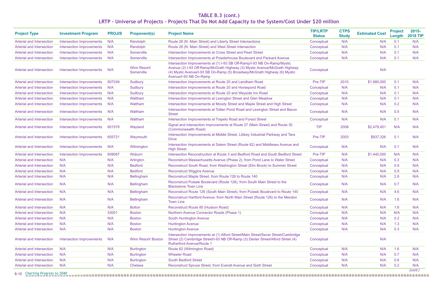**TABLE B.3 (cont.) LRTP - Universe of Projects - Projects That Do Not Add Capacity to the System/Cost Under \$20 million**

| <b>Project Type</b>              | <b>Investment Program</b>        | <b>PROJIS</b> | <b>Proponent(s)</b>        | <b>Project Name</b>                                                                                                                                                                                                                                           | <b>TIP/LRTP</b><br><b>Status</b> | <b>CTPS</b><br><b>Study</b> | <b>Estimated Cost</b> | <b>Project</b><br>Length | 2015-<br><b>2018 TIP</b> |
|----------------------------------|----------------------------------|---------------|----------------------------|---------------------------------------------------------------------------------------------------------------------------------------------------------------------------------------------------------------------------------------------------------------|----------------------------------|-----------------------------|-----------------------|--------------------------|--------------------------|
| <b>Arterial and Intersection</b> | <b>Intersection Improvements</b> | N/A           | Randolph                   | Route 28 (N. Main Street) and Liberty Street Intersections                                                                                                                                                                                                    | Conceptual                       | N/A                         | N/A                   | 0.1                      | N/A                      |
| <b>Arterial and Intersection</b> | <b>Intersection Improvements</b> | N/A           | Randolph                   | Route 28 (N. Main Street) and West Street Intersection                                                                                                                                                                                                        | Conceptual                       | N/A                         | N/A                   | 0.1                      | N/A                      |
| <b>Arterial and Intersection</b> | <b>Intersection Improvements</b> | N/A           | Somerville                 | Intersection Improvements at Cross Street and Pearl Street                                                                                                                                                                                                    | Conceptual                       | N/A                         | N/A                   | 0.1                      | N/A                      |
| <b>Arterial and Intersection</b> | <b>Intersection Improvements</b> | N/A           | Somerville                 | Intersection Improvements at Powderhouse Boulevard and Packard Avenue                                                                                                                                                                                         | Conceptual                       | N/A                         | N/A                   | 0.1                      | N/A                      |
| <b>Arterial and Intersection</b> | <b>Intersection Improvements</b> | N/A           | Winn Resort/<br>Somerville | Intersection Improvements at (1) I-93 SB Off-Ramp/I-93 NB On-Ramp/Mystic<br>Avenue (2) I-93 Off-Ramp/McGrath Highway (3) Mystic Avenue/McGrath Highway<br>(4) Mystic Avenue/I-93 SB On-Ramp (5) Broadway/McGrath Highway (6) Mystic<br>Avenue/I-93 NB On-Ramp | Conceptual                       |                             | N/A                   |                          |                          |
| <b>Arterial and Intersection</b> | <b>Intersection Improvements</b> | 607249        | Sudbury                    | Intersection Improvements at Route 20 and Landham Road                                                                                                                                                                                                        | Pre-TIP                          | 2010                        | \$1,980,000           | 0.1                      | N/A                      |
| <b>Arterial and Intersection</b> | <b>Intersection Improvements</b> | N/A           | Sudbury                    | Intersection Improvements at Route 20 and Horsepond Road                                                                                                                                                                                                      | Conceptual                       | N/A                         | N/A                   | 0.1                      | N/A                      |
| Arterial and Intersection        | <b>Intersection Improvements</b> | N/A           | Sudbury                    | Intersection Improvements at Route 20 and Wayside Inn Road                                                                                                                                                                                                    | Conceptual                       | N/A                         | N/A                   | 0.1                      | N/A                      |
| <b>Arterial and Intersection</b> | <b>Intersection Improvements</b> | N/A           | Waltham                    | Intersection Improvements at Lexington Street and Glen Meadow                                                                                                                                                                                                 | Conceptual                       | N/A                         | N/A                   | 0.1                      | N/A                      |
| <b>Arterial and Intersection</b> | Intersection Improvements        | N/A           | Waltham                    | Intersection Improvements at Moody Street and Maple Street and High Street                                                                                                                                                                                    | Conceptual                       | N/A                         | N/A                   | 0.2                      | N/A                      |
| <b>Arterial and Intersection</b> | <b>Intersection Improvements</b> | N/A           | Waltham                    | Intersection Improvements at Totten Pond Road and Lexington Street and Bacon<br><b>Street</b>                                                                                                                                                                 | Conceptual                       | N/A                         | N/A                   | 0.5                      | N/A                      |
| <b>Arterial and Intersection</b> | <b>Intersection Improvements</b> | N/A           | Waltham                    | Intersection Improvements at Trapelo Road and Forest Street                                                                                                                                                                                                   | Conceptual                       | N/A                         | N/A                   | 0.1                      | N/A                      |
| <b>Arterial and Intersection</b> | <b>Intersection Improvements</b> | 601579        | Wayland                    | Signal and intersection improvements at Route 27 (Main Street) and Route 30<br>(Commonwealth Road)                                                                                                                                                            | <b>TIP</b>                       | 2008                        | \$2,479,451           | N/A                      | N/A                      |
| <b>Arterial and Intersection</b> | <b>Intersection Improvements</b> | 605721        | Weymouth                   | Intersection Improvements at Middle Street, Libbey Industrial Parkway and Tara<br><b>Drive</b>                                                                                                                                                                | Pre-TIP                          | 2003                        | \$937,326             | 0.1                      | N/A                      |
| <b>Arterial and Intersection</b> | <b>Intersection Improvements</b> | N/A           | Wilmington                 | Intersection Improvements at Salem Street (Route 62) and Middlesex Avenue and<br><b>High Street</b>                                                                                                                                                           | Conceptual                       | N/A                         | N/A                   | 0.1                      | N/A                      |
| <b>Arterial and Intersection</b> | <b>Intersection Improvements</b> | 608067        | Woburn                     | Intersection Reconstruction at Route 3 and Bedford Road and South Bedford Street                                                                                                                                                                              | Pre-TIP                          | N/A                         | \$1,440,000           | N/A                      | N/A                      |
| <b>Arterial and Intersection</b> | N/A                              | N/A           | Arlington                  | Reconstruct Massachusetts Avenue (Phase 2), from Pond Lane to Water Street                                                                                                                                                                                    | Conceptual                       | N/A                         | N/A                   | 0.3                      | N/A                      |
| <b>Arterial and Intersection</b> | N/A                              | N/A           | <b>Bedford</b>             | Reconstruct South Road, from Washington Street (Elm Brook) to Summer Street                                                                                                                                                                                   | Conceptual                       | N/A                         | N/A                   | 0.9                      | N/A                      |
| Arterial and Intersection        | N/A                              | N/A           | <b>Bedford</b>             | <b>Reconstruct Wiggins Avenue</b>                                                                                                                                                                                                                             | Conceptual                       | N/A                         | N/A                   | 0.9                      | N/A                      |
| <b>Arterial and Intersection</b> | N/A                              | N/A           | Bellingham                 | Reconstruct Maple Street, from Route 126 to Route 140                                                                                                                                                                                                         | Conceptual                       | N/A                         | N/A                   | 2.8                      | N/A                      |
| <b>Arterial and Intersection</b> | N/A                              | N/A           | Bellingham                 | Reconstruct Pulaski Boulevard (Route 126), from South Main Street to the<br><b>Blackstone Town Line</b>                                                                                                                                                       | Conceptual                       | N/A                         | N/A                   | 0.7                      | N/A                      |
| <b>Arterial and Intersection</b> | N/A                              | N/A           | Bellingham                 | Reconstruct Route 126 (South Main Street), from Pulaski Boulevard to Route 140                                                                                                                                                                                | Conceptual                       | N/A                         | N/A                   | 4.6                      | N/A                      |
| <b>Arterial and Intersection</b> | N/A                              | N/A           | Bellingham                 | Reconstruct Hartford Avenue, from North Main Street (Route 126) to the Mendon<br><b>Town Line</b>                                                                                                                                                             | Conceptual                       | N/A                         | N/A                   | 1.6                      | N/A                      |
| <b>Arterial and Intersection</b> | N/A                              | N/A           | <b>Bolton</b>              | Reconstruct Route 85 (Hudson Road)                                                                                                                                                                                                                            | Conceptual                       | N/A                         | N/A                   | 1.6                      | N/A                      |
| <b>Arterial and Intersection</b> | N/A                              | 53001         | <b>Boston</b>              | Northern Avenue Connector Roads (Phase 1)                                                                                                                                                                                                                     | Conceptual                       | N/A                         | N/A                   | N/A                      | N/A                      |
| <b>Arterial and Intersection</b> | N/A                              | N/A           | <b>Boston</b>              | <b>South Huntington Avenue</b>                                                                                                                                                                                                                                | Conceptual                       | N/A                         | N/A                   | 0.2                      | N/A                      |
| <b>Arterial and Intersection</b> | N/A                              | N/A           | <b>Boston</b>              | <b>Huntington Avenue</b>                                                                                                                                                                                                                                      | Conceptual                       | N/A                         | N/A                   | 1.3                      | N/A                      |
| <b>Arterial and Intersection</b> | N/A                              | N/A           | <b>Boston</b>              | <b>Huntington Avenue</b>                                                                                                                                                                                                                                      | Conceptual                       | N/A                         | N/A                   | 0.3                      | N/A                      |
| <b>Arterial and Intersection</b> | <b>Intersection Improvements</b> | N/A           | Winn Resort/ Boston        | Intersection Improvements at (1) Alford Street/Main Street/Sever Street/Cambridge<br>Street (2) Cambridge Street/I-93 NB Off-Ramp (3) Dexter Street/Alford Street (4)<br><b>Rutherford Avenue/Route 1</b>                                                     | Conceptual                       |                             | N/A                   |                          |                          |
| Arterial and Intersection        | N/A                              | N/A           | <b>Burlington</b>          | Route 62 (Wilmington Road)                                                                                                                                                                                                                                    | Conceptual                       | N/A                         | N/A                   | 1.6                      | N/A                      |
| Arterial and Intersection        | N/A                              | N/A           | <b>Burlington</b>          | <b>Wheeler Road</b>                                                                                                                                                                                                                                           | Conceptual                       | N/A                         | N/A                   | 0.7                      | N/A                      |
| <b>Arterial and Intersection</b> | N/A                              | N/A           | <b>Burlington</b>          | <b>South Bedford Street</b>                                                                                                                                                                                                                                   | Conceptual                       | N/A                         | N/A                   | 0.6                      | N/A                      |
| <b>Arterial and Intersection</b> | N/A                              | N/A           | Chelsea                    | Reconstruct Spruce Street, from Everett Avenue and Sixth Street                                                                                                                                                                                               | Conceptual                       | N/A                         | N/A                   | 0.2                      | N/A                      |
| B-10 Charting Progress to 2040   |                                  |               |                            |                                                                                                                                                                                                                                                               |                                  |                             |                       |                          | (cont.)                  |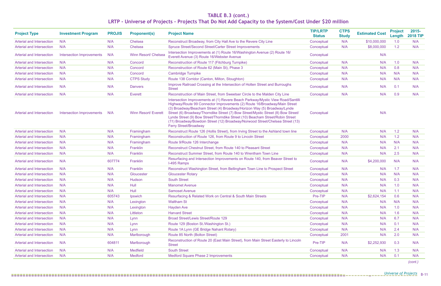| <b>Project Type</b>              | <b>Investment Program</b>        | <b>PROJIS</b> | <b>Proponent(s)</b>         | <b>Project Name</b>                                                                                                                                                                                                                                                                                                                                                                                                                                                                                                            | <b>TIP/LRTP</b><br><b>Status</b> | <b>CTPS</b><br><b>Study</b> | <b>Estimated Cost</b> | <b>Project</b><br>Length | 2015-<br><b>2018 TIP</b> |
|----------------------------------|----------------------------------|---------------|-----------------------------|--------------------------------------------------------------------------------------------------------------------------------------------------------------------------------------------------------------------------------------------------------------------------------------------------------------------------------------------------------------------------------------------------------------------------------------------------------------------------------------------------------------------------------|----------------------------------|-----------------------------|-----------------------|--------------------------|--------------------------|
| Arterial and Intersection        | N/A                              | N/A           | Chelsea                     | Reconstruct Broadway, from City Hall Ave to the Revere City Line                                                                                                                                                                                                                                                                                                                                                                                                                                                               | Conceptual                       | N/A                         | \$10,000,000          | 1.0                      | N/A                      |
| Arterial and Intersection        | N/A                              | N/A           | Chelsea                     | Spruce Street/Second Street/Carter Street Improvements                                                                                                                                                                                                                                                                                                                                                                                                                                                                         | Conceptual                       | N/A                         | \$8,000,000           | 1.2                      | N/A                      |
| Arterial and Intersection        | <b>Intersection Improvements</b> | N/A           | Winn Resort/ Chelsea        | Intersection Improvements at (1) Route 16/Washington Avenue (2) Route 16/<br>Everett Avenue (3) Route 16/Webster Avenue                                                                                                                                                                                                                                                                                                                                                                                                        | Conceptual                       |                             | N/A                   |                          |                          |
| Arterial and Intersection        | N/A                              | N/A           | Concord                     | Reconstruction of Route 117 (Fitchburg Turnpike)                                                                                                                                                                                                                                                                                                                                                                                                                                                                               | Conceptual                       | N/A                         | N/A                   | 1.0                      | N/A                      |
| Arterial and Intersection        | N/A                              | N/A           | Concord                     | Reconstruction of Route 62 (Main St), Phase 3                                                                                                                                                                                                                                                                                                                                                                                                                                                                                  | Conceptual                       | N/A                         | N/A                   | 0.8                      | N/A                      |
| <b>Arterial and Intersection</b> | N/A                              | N/A           | Concord                     | <b>Cambridge Turnpike</b>                                                                                                                                                                                                                                                                                                                                                                                                                                                                                                      | Conceptual                       | N/A                         | N/A                   | N/A                      | N/A                      |
| <b>Arterial and Intersection</b> | N/A                              | N/A           | <b>CTPS Study</b>           | Route 138 Corridor (Canton, Milton, Stoughton)                                                                                                                                                                                                                                                                                                                                                                                                                                                                                 | Conceptual                       | N/A                         | N/A                   | N/A                      | N/A                      |
| Arterial and Intersection        | N/A                              | N/A           | <b>Danvers</b>              | Improve Railroad Crossing at the Intersection of Holten Street and Burroughs<br><b>Street</b>                                                                                                                                                                                                                                                                                                                                                                                                                                  | Conceptual                       | N/A                         | N/A                   | 0.1                      | N/A                      |
| Arterial and Intersection        | N/A                              | N/A           | <b>Everett</b>              | Reconstruction of Main Street, from Sweetser Circle to the Malden City Line                                                                                                                                                                                                                                                                                                                                                                                                                                                    | Conceptual                       | N/A                         | N/A                   | 0.9                      | N/A                      |
| Arterial and Intersection        | <b>Intersection Improvements</b> | N/A           | <b>Winn Resort/ Everett</b> | Intersection Improvements at (1) Revere Beach Parkway/Mystic View Road/Santilli<br>Highway/Route 99 Connector Improvements (2) Route 16/Broadway/Main Street<br>(3) Broadway/Beacham Street (4) Broadway/Horizon Way (5) Broadway/Lynde<br>Street (6) Broadway/Thorndike Street (7) Bow Street/Mystic Street (8) Bow Street/<br>Lynde Street (9) Bow Street/Thorndike Street (10) Beacham Street/Robin Street<br>(11) Broadway/Bowdoin Street (12) Broadway/Norwood Street/Chelsea Street (13)<br><b>Ferry Street/Broadway</b> | Conceptual                       |                             | N/A                   |                          |                          |
| Arterial and Intersection        | N/A                              | N/A           | Framingham                  | Reconstruct Route 126 (Hollis Street), from Irving Street to the Ashland town line                                                                                                                                                                                                                                                                                                                                                                                                                                             | Conceptual                       | N/A                         | N/A                   | 1.2                      | N/A                      |
| Arterial and Intersection        | N/A                              | N/A           | Framingham                  | Reconstruction of Route 126, from Route 9 to Lincoln Street                                                                                                                                                                                                                                                                                                                                                                                                                                                                    | Conceptual                       | 2000                        | N/A                   | 1.2                      | N/A                      |
| <b>Arterial and Intersection</b> | N/A                              | N/A           | Framingham                  | Route 9/Route 126 Interchange                                                                                                                                                                                                                                                                                                                                                                                                                                                                                                  | Conceptual                       | N/A                         | N/A                   | N/A                      | N/A                      |
| Arterial and Intersection        | N/A                              | N/A           | Franklin                    | Reconstruct Chestnut Street, from Route 140 to Pleasant Street                                                                                                                                                                                                                                                                                                                                                                                                                                                                 | Conceptual                       | N/A                         | N/A                   | 2.1                      | N/A                      |
| <b>Arterial and Intersection</b> | N/A                              | N/A           | Franklin                    | Reconstruct Summer Street, from Route 140 to Wrentham Town Line                                                                                                                                                                                                                                                                                                                                                                                                                                                                | Conceptual                       | N/A                         | N/A                   | 2.5                      | N/A                      |
| Arterial and Intersection        | N/A                              | 607774        | Franklin                    | Resurfacing and Intersection Improvements on Route 140, from Beaver Street to<br>I-495 Ramps                                                                                                                                                                                                                                                                                                                                                                                                                                   | Conceptual                       | N/A                         | \$4,200,000           | N/A                      | N/A                      |
| <b>Arterial and Intersection</b> | N/A                              | N/A           | Franklin                    | Reconstruct Washington Street, from Bellingham Town Line to Prospect Street                                                                                                                                                                                                                                                                                                                                                                                                                                                    | Conceptual                       | N/A                         | N/A                   | 1.7                      | N/A                      |
| <b>Arterial and Intersection</b> | N/A                              | N/A           | Gloucester                  | <b>Gloucester Rotary</b>                                                                                                                                                                                                                                                                                                                                                                                                                                                                                                       | Conceptual                       | N/A                         | N/A                   | N/A                      | N/A                      |
| Arterial and Intersection        | N/A                              | N/A           | Hudson                      | <b>South Street</b>                                                                                                                                                                                                                                                                                                                                                                                                                                                                                                            | Conceptual                       | N/A                         | N/A                   | 0.3                      | N/A                      |
| Arterial and Intersection        | N/A                              | N/A           | Hull                        | <b>Manomet Avenue</b>                                                                                                                                                                                                                                                                                                                                                                                                                                                                                                          | Conceptual                       | N/A                         | N/A                   | 1.0                      | N/A                      |
| Arterial and Intersection        | N/A                              | N/A           | Hull                        | <b>Samoset Avenue</b>                                                                                                                                                                                                                                                                                                                                                                                                                                                                                                          | Conceptual                       | N/A                         | N/A                   | 1.1                      | N/A                      |
| <b>Arterial and Intersection</b> | N/A                              | 605743        | Ipswich                     | Resurfacing & Related Work on Central & South Main Streets                                                                                                                                                                                                                                                                                                                                                                                                                                                                     | Pre-TIP                          | N/A                         | \$2,624,154           | 0.6                      | N/A                      |
| <b>Arterial and Intersection</b> | N/A                              | N/A           | Lexington                   | <b>Waltham St</b>                                                                                                                                                                                                                                                                                                                                                                                                                                                                                                              | Conceptual                       | N/A                         | N/A                   | N/A                      | N/A                      |
| <b>Arterial and Intersection</b> | N/A                              | N/A           | Lexington                   | <b>Hayden Ave</b>                                                                                                                                                                                                                                                                                                                                                                                                                                                                                                              | Conceptual                       | N/A                         | N/A                   | 1.0                      | N/A                      |
| <b>Arterial and Intersection</b> | N/A                              | N/A           | Littleton                   | <b>Harvard Street</b>                                                                                                                                                                                                                                                                                                                                                                                                                                                                                                          | Conceptual                       | N/A                         | N/A                   | 1.6                      | N/A                      |
| <b>Arterial and Intersection</b> | N/A                              | N/A           | Lynn                        | <b>Broad Street/Lewis Street/Route 129</b>                                                                                                                                                                                                                                                                                                                                                                                                                                                                                     | Conceptual                       | N/A                         | N/A                   | 6.7                      | N/A                      |
| <b>Arterial and Intersection</b> | N/A                              | N/A           | Lynn                        | Route 129 (Boston St./Washington St.)                                                                                                                                                                                                                                                                                                                                                                                                                                                                                          | Conceptual                       | N/A                         | N/A                   | 0.1                      | N/A                      |
| <b>Arterial and Intersection</b> | N/A                              | N/A           | Lynn                        | Route 1A Lynn (GE Bridge Nahant Rotary)                                                                                                                                                                                                                                                                                                                                                                                                                                                                                        | Conceptual                       | N/A                         | N/A                   | 2.4                      | N/A                      |
| Arterial and Intersection        | N/A                              | N/A           | Marlborough                 | Route 85 North (Bolton Street)                                                                                                                                                                                                                                                                                                                                                                                                                                                                                                 | Conceptual                       | 2001                        | N/A                   | 2.0                      | N/A                      |
| Arterial and Intersection        | N/A                              | 604811        | Marlborough                 | Reconstruction of Route 20 (East Main Street), from Main Street Easterly to Lincoln<br><b>Street</b>                                                                                                                                                                                                                                                                                                                                                                                                                           | Pre-TIP                          | N/A                         | \$2,252,930           | 0.3                      | N/A                      |
| <b>Arterial and Intersection</b> | N/A                              | N/A           | <b>Medfield</b>             | <b>South Street</b>                                                                                                                                                                                                                                                                                                                                                                                                                                                                                                            | Conceptual                       | N/A                         | N/A                   | 1.3                      | N/A                      |
| <b>Arterial and Intersection</b> | N/A                              | N/A           | <b>Medford</b>              | <b>Medford Square Phase 2 Improvements</b>                                                                                                                                                                                                                                                                                                                                                                                                                                                                                     | Conceptual                       | N/A                         | N/A                   | 0.1                      | N/A                      |
|                                  |                                  |               |                             |                                                                                                                                                                                                                                                                                                                                                                                                                                                                                                                                |                                  |                             |                       |                          | (cont.)                  |

B-11 **Discussion of Projects of Projects** and the Universe of Projects of Projects and Discussion of Projects and Discovered and Discovered and Discovered and Discovered and Discovered and Discovered and Discovered and Dis

### **TABLE B.3 (cont.)**

**LRTP - Universe of Projects - Projects That Do Not Add Capacity to the System/Cost Under \$20 million**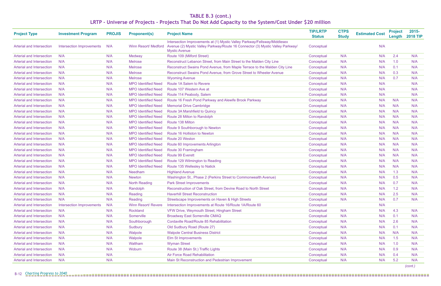**TABLE B.3 (cont.) LRTP - Universe of Projects - Projects That Do Not Add Capacity to the System/Cost Under \$20 million**

| <b>Project Type</b>              | <b>Investment Program</b>        | <b>PROJIS</b> | <b>Proponent(s)</b>         | <b>Project Name</b>                                                                                                                                                                 | <b>TIP/LRTP</b><br><b>Status</b> | <b>CTPS</b><br><b>Study</b> | <b>Estimated Cost</b> | <b>Project</b><br>Length | $2015 -$<br><b>2018 TIP</b> |
|----------------------------------|----------------------------------|---------------|-----------------------------|-------------------------------------------------------------------------------------------------------------------------------------------------------------------------------------|----------------------------------|-----------------------------|-----------------------|--------------------------|-----------------------------|
| <b>Arterial and Intersection</b> | <b>Intersection Improvements</b> | N/A           | <b>Winn Resort/ Medford</b> | Intersection Improvements at (1) Mystic Valley Parkway/Fellsway/Middlesex<br>Avenue (2) Mystic Valley Parkway/Route 16 Connector (3) Mystic Valley Parkway/<br><b>Mystic Avenue</b> | Conceptual                       |                             | N/A                   |                          |                             |
| <b>Arterial and Intersection</b> | N/A                              | N/A           | Medway                      | Route 109 (Milford Street)                                                                                                                                                          | Conceptual                       | N/A                         | N/A                   | 2.4                      | N/A                         |
| <b>Arterial and Intersection</b> | N/A                              | N/A           | <b>Melrose</b>              | Reconstruct Lebanon Street, from Main Street to the Malden City Line                                                                                                                | Conceptual                       | N/A                         | N/A                   | 1.0                      | N/A                         |
| <b>Arterial and Intersection</b> | N/A                              | N/A           | <b>Melrose</b>              | Reconstruct Swains Pond Avenue, from Maple Terrace to the Malden City Line                                                                                                          | Conceptual                       | N/A                         | N/A                   | 0.1                      | N/A                         |
| <b>Arterial and Intersection</b> | N/A                              | N/A           | <b>Melrose</b>              | Reconstruct Swains Pond Avenue, from Grove Street to Wheeler Avenue                                                                                                                 | Conceptual                       | N/A                         | N/A                   | 0.3                      | N/A                         |
| <b>Arterial and Intersection</b> | N/A                              | N/A           | <b>Melrose</b>              | <b>Wyoming Avenue</b>                                                                                                                                                               | Conceptual                       | N/A                         | N/A                   | 0.7                      | N/A                         |
| <b>Arterial and Intersection</b> | N/A                              | N/A           | <b>MPO Identified Need</b>  | Route 1A Salem to Revere                                                                                                                                                            | Conceptual                       | N/A                         | N/A                   |                          | N/A                         |
| <b>Arterial and Intersection</b> | N/A                              | N/A           | <b>MPO Identified Need</b>  | Route 107 Western Ave at                                                                                                                                                            | Conceptual                       | N/A                         | N/A                   |                          | N/A                         |
| <b>Arterial and Intersection</b> | N/A                              | N/A           | <b>MPO Identified Need</b>  | Route 114 Peabody, Salem                                                                                                                                                            | Conceptual                       | N/A                         | N/A                   |                          | N/A                         |
| <b>Arterial and Intersection</b> | N/A                              | N/A           | <b>MPO Identified Need</b>  | Route 16 Fresh Pond Parkway and Alewife Brook Parkway                                                                                                                               | Conceptual                       | N/A                         | N/A                   | N/A                      | N/A                         |
| <b>Arterial and Intersection</b> | N/A                              | N/A           | <b>MPO Identified Need</b>  | <b>Memorial Drive Cambridge</b>                                                                                                                                                     | Conceptual                       | N/A                         | N/A                   | N/A                      | N/A                         |
| <b>Arterial and Intersection</b> | N/A                              | N/A           | <b>MPO Identified Need</b>  | <b>Route 3A Marshfield to Quincy</b>                                                                                                                                                | Conceptual                       | N/A                         | N/A                   | N/A                      | N/A                         |
| Arterial and Intersection        | N/A                              | N/A           | <b>MPO Identified Need</b>  | Route 28 Milton to Randolph                                                                                                                                                         | Conceptual                       | N/A                         | N/A                   | N/A                      | N/A                         |
| <b>Arterial and Intersection</b> | N/A                              | N/A           | <b>MPO Identified Need</b>  | Route 138 Milton                                                                                                                                                                    | Conceptual                       | N/A                         | N/A                   | N/A                      | N/A                         |
| <b>Arterial and Intersection</b> | N/A                              | N/A           | <b>MPO Identified Need</b>  | Route 9 Southborough to Newton                                                                                                                                                      | Conceptual                       | N/A                         | N/A                   | N/A                      | N/A                         |
| <b>Arterial and Intersection</b> | N/A                              | N/A           | <b>MPO Identified Need</b>  | Route 16 Holliston to Newton                                                                                                                                                        | Conceptual                       | N/A                         | N/A                   | N/A                      | N/A                         |
| <b>Arterial and Intersection</b> | N/A                              | N/A           | <b>MPO Identified Need</b>  | Route 20 Weston                                                                                                                                                                     | Conceptual                       | N/A                         | N/A                   | N/A                      | N/A                         |
| <b>Arterial and Intersection</b> | N/A                              | N/A           | <b>MPO Identified Need</b>  | Route 60 Improvements Arlington                                                                                                                                                     | Conceptual                       | N/A                         | N/A                   | N/A                      | N/A                         |
| <b>Arterial and Intersection</b> | N/A                              | N/A           | <b>MPO Identified Need</b>  | Route 30 Framingham                                                                                                                                                                 | Conceptual                       | N/A                         | N/A                   | N/A                      | N/A                         |
| <b>Arterial and Intersection</b> | N/A                              | N/A           | <b>MPO Identified Need</b>  | Route 99 Everett                                                                                                                                                                    | Conceptual                       | N/A                         | N/A                   | N/A                      | N/A                         |
| <b>Arterial and Intersection</b> | N/A                              | N/A           | <b>MPO Identified Need</b>  | Route 129 Wilmington to Reading                                                                                                                                                     | Conceptual                       | N/A                         | N/A                   | N/A                      | N/A                         |
| <b>Arterial and Intersection</b> | N/A                              | N/A           | <b>MPO Identified Need</b>  | Route 135 Wellesley to Natick                                                                                                                                                       | Conceptual                       | N/A                         | N/A                   | N/A                      | N/A                         |
| <b>Arterial and Intersection</b> | N/A                              | N/A           | Needham                     | <b>Highland Avenue</b>                                                                                                                                                              | Conceptual                       | N/A                         | N/A                   | 1.3                      | N/A                         |
| <b>Arterial and Intersection</b> | N/A                              | N/A           | <b>Newton</b>               | Washington St., Phase 2 (Perkins Street to Commonwealth Avenue)                                                                                                                     | Conceptual                       | N/A                         | N/A                   | 0.5                      | N/A                         |
| <b>Arterial and Intersection</b> | N/A                              | N/A           | <b>North Reading</b>        | <b>Park Street Improvements</b>                                                                                                                                                     | Conceptual                       | N/A                         | N/A                   | 0.7                      | N/A                         |
| <b>Arterial and Intersection</b> | N/A                              | N/A           | Randolph                    | Reconstruction of Oak Street, from Devine Road to North Street                                                                                                                      | Conceptual                       | N/A                         | N/A                   | 1.2                      | N/A                         |
| <b>Arterial and Intersection</b> | N/A                              | N/A           | Reading                     | <b>Haverhill Street Reconstruction</b>                                                                                                                                              | Conceptual                       | N/A                         | N/A                   | 2.5                      | N/A                         |
| <b>Arterial and Intersection</b> | N/A                              | N/A           | Reading                     | Streetscape Improvements on Haven & High Streets                                                                                                                                    | Conceptual                       | N/A                         | N/A                   | 0.7                      | N/A                         |
| <b>Arterial and Intersection</b> | <b>Intersection Improvements</b> | N/A           | <b>Winn Resort/ Revere</b>  | Intersection Improvements at Route 16/Route 1A/Route 60                                                                                                                             | Conceptual                       |                             | N/A                   |                          |                             |
| <b>Arterial and Intersection</b> | N/A                              | N/A           | Rockland                    | VFW Drive, Weymouth Street, Hingham Street                                                                                                                                          | Conceptual                       | N/A                         | N/A                   | 4.3                      | N/A                         |
| <b>Arterial and Intersection</b> | N/A                              | N/A           | Somerville                  | <b>Broadway East Somerville CMAQ</b>                                                                                                                                                | Conceptual                       | N/A                         | N/A                   | 0.1                      | N/A                         |
| <b>Arterial and Intersection</b> | N/A                              | N/A           | Southborough                | Cordaville Road/Route 85 Rehabilitation                                                                                                                                             | Conceptual                       | N/A                         | N/A                   | 2.6                      | N/A                         |
| <b>Arterial and Intersection</b> | N/A                              | N/A           | Sudbury                     | Old Sudbury Road (Route 27)                                                                                                                                                         | Conceptual                       | N/A                         | N/A                   | 0.1                      | N/A                         |
| <b>Arterial and Intersection</b> | N/A                              | N/A           | Walpole                     | <b>Walpole Central Business District</b>                                                                                                                                            | Conceptual                       | N/A                         | N/A                   | N/A                      | N/A                         |
| <b>Arterial and Intersection</b> | N/A                              | N/A           | Walpole                     | Elm St Improvements                                                                                                                                                                 | Conceptual                       | N/A                         | N/A                   | 1.5                      | N/A                         |
| <b>Arterial and Intersection</b> | N/A                              | N/A           | Waltham                     | <b>Wyman Street</b>                                                                                                                                                                 | Conceptual                       | N/A                         | N/A                   | 1.0                      | N/A                         |
| <b>Arterial and Intersection</b> | N/A                              | N/A           | Woburn                      | Route 38 (Main St.) Traffic Lights                                                                                                                                                  | Conceptual                       | N/A                         | N/A                   | 0.9                      | N/A                         |
| <b>Arterial and Intersection</b> | N/A                              | N/A           |                             | Air Force Road Rehabilitation                                                                                                                                                       | Conceptual                       | N/A                         | N/A                   | 0.4                      | N/A                         |
| <b>Arterial and Intersection</b> | N/A                              | N/A           |                             | Main St Reconstruction and Pedestrian Improvement                                                                                                                                   | Conceptual                       | N/A                         | N/A                   | 5.2                      | N/A                         |
|                                  |                                  |               |                             |                                                                                                                                                                                     |                                  |                             |                       |                          |                             |

*(cont.)*